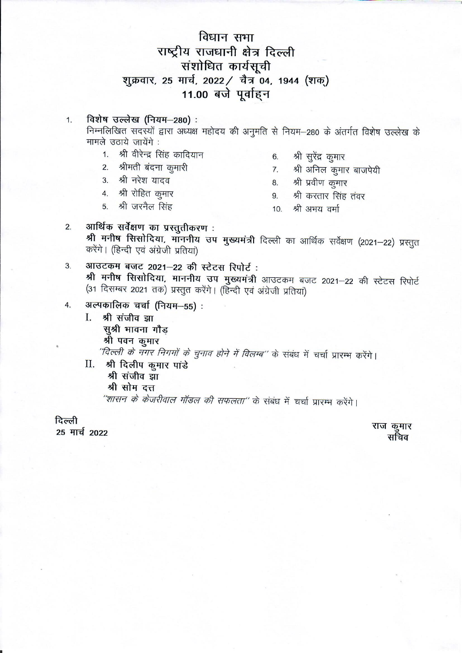# विधान सभा राष्ट्रीय राजधानी क्षेत्र दिल्ली संशोधित कार्यसूची शुक्रवार, 25 मार्च, 2022 / चैत्र 04, 1944 (शक्) 11.00 बजे पूर्वाहन

#### विशेष उल्लेख (नियम-280): 1.

निम्नलिखित सदस्यों द्वारा अध्यक्ष महोदय की अनुमति से नियम-280 के अंतर्गत विशेष उल्लेख के मामले उठाये जायेंगे:

- 1. श्री वीरेन्द्र सिंह कादियान
- 2. श्रीमती बंदना कूमारी
- 3. श्री नरेश यादव
- 4. श्री रोहित कुमार
- 5. श्री जरनैल सिंह
- श्री सुरेंद्र कुमार 6.
- श्री अनिल कूमार बाजपेयी  $7.$
- श्री प्रवीण कुमार 8.
- 9. श्री करतार सिंह तंवर
- 10. श्री अभय वर्मा
- आर्थिक सर्वेक्षण का प्रस्तुतीकरण:  $2.$ श्री मनीष सिसोदिया, माननीय उप मुख्यमंत्री दिल्ली का आर्थिक सर्वेक्षण (2021-22) प्रस्तुत करेंगे। (हिन्दी एवं अंग्रेजी प्रतियां)
- आउटकम बजट 2021-22 की स्टेटस रिपोर्ट: 3. श्री मनीष सिसोदिया, माननीय उप मुख्यमंत्री आउटकम बजट 2021-22 की स्टेटस रिपोर्ट (31 दिसम्बर 2021 तक) प्रस्तुत करेंगे। (हिन्दी एवं अंग्रेजी प्रतियां)
- अल्पकालिक चर्चा (नियम-55):  $4.$ 
	- I. श्री संजीव झा सूश्री भावना गौड श्री पवन कुमार "दिल्ली के नगर निगमों के चुनाव होने में विलम्ब" के संबंध में चर्चा प्रारम्भ करेंगे। Π. श्री दिलीप कुमार पांडे श्री संजीव झा
		- श्री सोम दत्त
		- "शासन के केजरीवाल मॉडल की सफलता" के संबंध में चर्चा प्रारम्भ करेंगे।

दिल्ली

25 मार्च 2022

राज कुमार सचिव